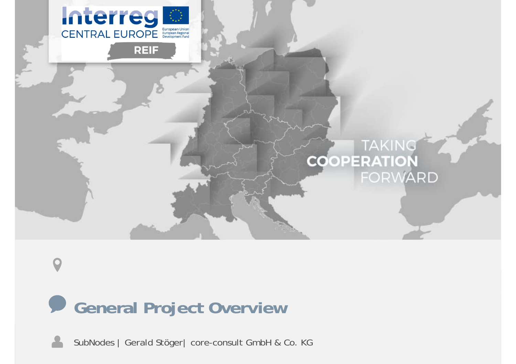

# **General Project Overview**

SubNodes | Gerald Stöger| core-consult GmbH & Co. KG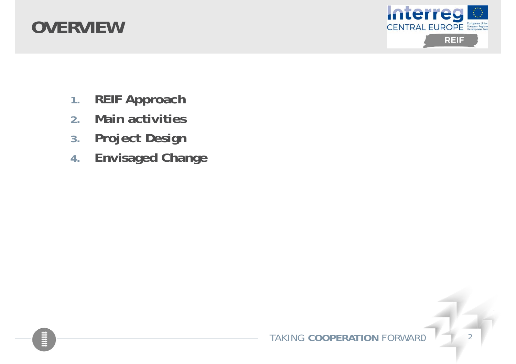## **OVERVIEW**



- **1.REIF Approach**
- **2.Main activities**
- **3.Project Design**
- **4.Envisaged Change**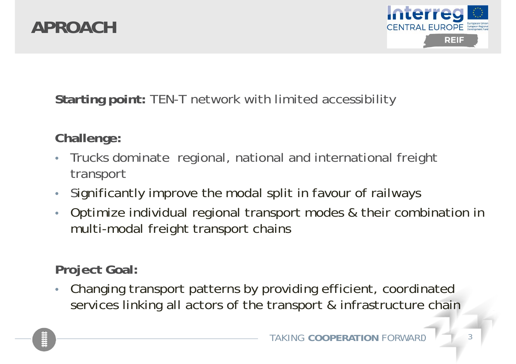



**Starting point:** TEN-T network with limited accessibility

**Challenge:**

- $\bullet$  Trucks dominate regional, national and international freight transport
- •Significantly improve the modal split in favour of railways
- • Optimize individual regional transport modes & their combination in multi-modal freight transport chains

**Project Goal:** 

• Changing transport patterns by providing efficient, coordinated services linking all actors of the transport & infrastructure chain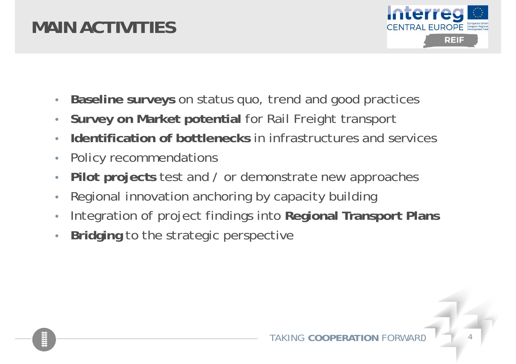# **MAIN ACTIVITIES**



- •**Baseline surveys** on status quo, trend and good practices
- •**Survey on Market potential** for Rail Freight transport
- •**Identification of bottlenecks** in infrastructures and services
- $\bullet$ Policy recommendations
- •**Pilot projects** test and / or demonstrate new approaches
- •Regional innovation anchoring by capacity building
- •Integration of project findings into **Regional Transport Plans**
- •**Bridging** to the strategic perspective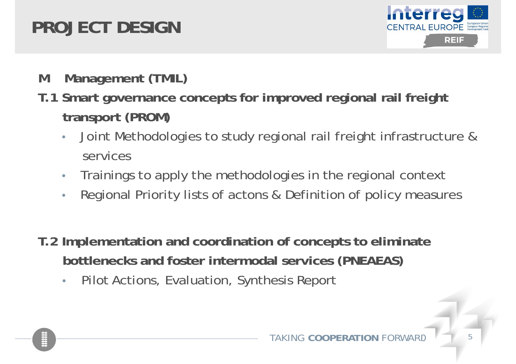# **PROJECT DESIGN**



- **M Management (TMIL)**
- **T.1 Smart governance concepts for improved regional rail freight transport (PROM)**
	- • Joint Methodologies to study regional rail freight infrastructure & services
	- $\bullet$ Trainings to apply the methodologies in the regional context
	- •Regional Priority lists of actons & Definition of policy measures
- **T.2 Implementation and coordination of concepts to eliminate bottlenecks and foster intermodal services (PNEAEAS)**
	- •Pilot Actions, Evaluation, Synthesis Report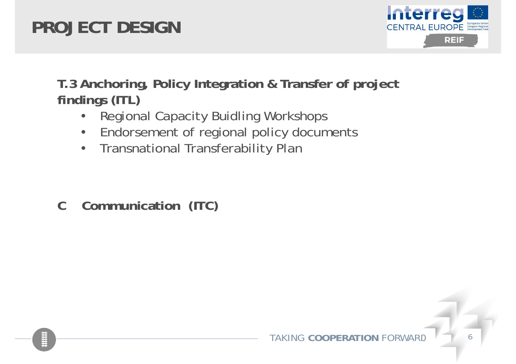# **PROJECT DESIGN**



**T.3 Anchoring, Policy Integration & Transfer of project findings (ITL)**

- •Regional Capacity Buidling Workshops
- $\bullet$ Endorsement of regional policy documents
- $\bullet$ Transnational Transferability Plan

**C Communication (ITC)**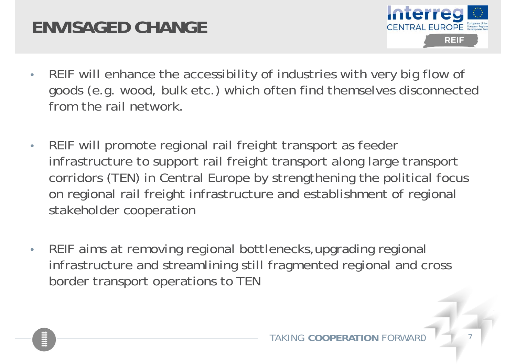# **ENVISAGED CHANGE**



- • REIF will enhance the accessibility of industries with very big flow of goods (e.g. wood, bulk etc.) which often find themselves disconnected from the rail network.
- • REIF will promote regional rail freight transport as feeder infrastructure to support rail freight transport along large transport corridors (TEN) in Central Europe by strengthening the political focus on regional rail freight infrastructure and establishment of regional stakeholder cooperation
- •REIF aims at removing regional bottlenecks, upgrading regional infrastructure and streamlining still fragmented regional and cross border transport operations to TEN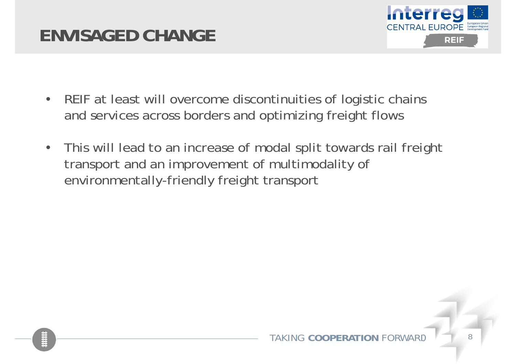



- $\bullet$  REIF at least will overcome discontinuities of logistic chains and services across borders and optimizing freight flows
- $\bullet$  This will lead to an increase of modal split towards rail freight transport and an improvement of multimodality of environmentally-friendly freight transport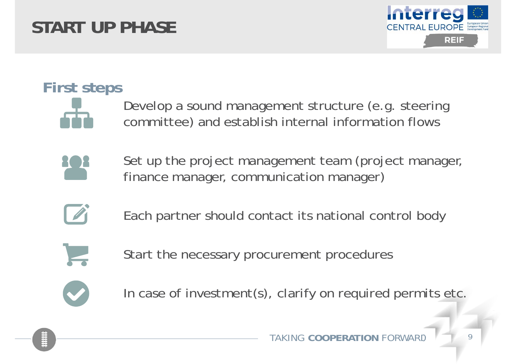# **START UP PHASE**



### **First steps**



Develop a sound management structure (e.g. steering committee) and establish internal information flows



Set up the project management team (project manager, finance manager, communication manager)



Each partner should contact its national control body



Start the necessary procurement procedures



In case of investment(s), clarify on required permits etc.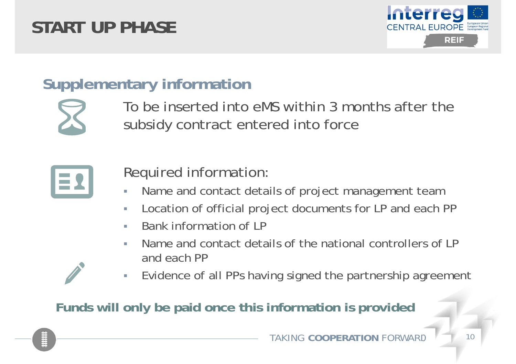# **START UP PHASE**



## **Supplementary information**



To be inserted into eMS within 3 months after the subsidy contract entered into force



Required information:

- Ì. Name and contact details of project management team
- $\mathcal{L}_{\mathcal{A}}$ Location of official project documents for LP and each PP
- m. Bank information of LP
- ×. Name and contact details of the national controllers of LP and each PP
- $\mathcal{L}_{\mathcal{A}}$ Evidence of all PPs having signed the partnership agreement

**Funds will only be paid once this information is provided**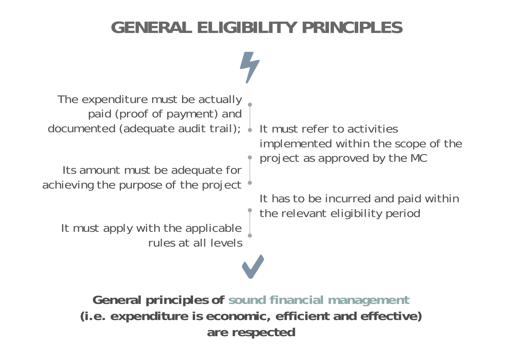## **GENERAL ELIGIBILITY PRINCIPLES**

The expenditure must be actually paid (proof of payment) and documented (adequate audit trail); It must refer to activities

Its amount must be adequate for achieving the purpose of the project

It must apply with the applicable rules at all levels

implemented within the scope of the project as approved by the MC

It has to be incurred and paid within the relevant eligibility period

**General principles of sound financial management (i.e. expenditure is economic, efficient and effective) are respected**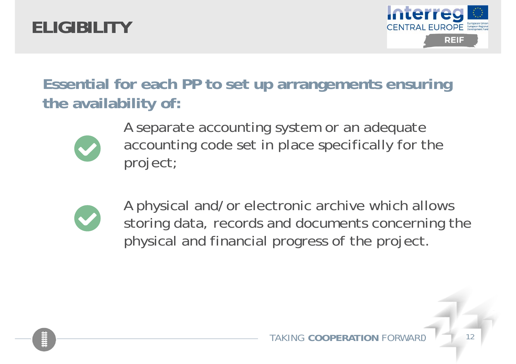# **ELIGIBILITY**



**Essential for each PP to set up arrangements ensuring the availability of:**



A separate accounting system or an adequate accounting code set in place specifically for the project;



A physical and/or electronic archive which allows storing data, records and documents concerning the physical and financial progress of the project.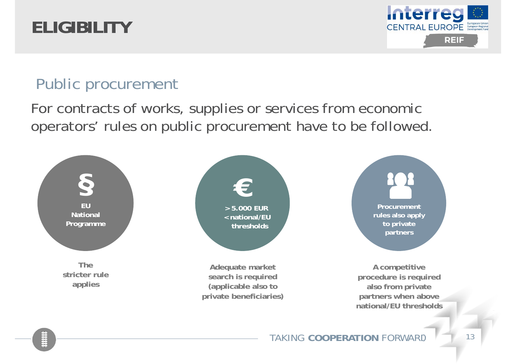# **ELIGIBILITY**



### Public procurement

For contracts of works, supplies or services from economic operators' rules on public procurement have to be followed.

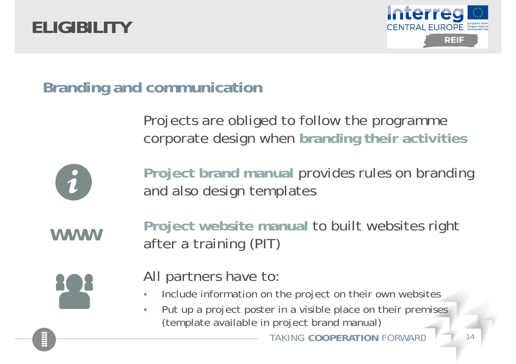# **ELIGIBILITY**



## **Branding and communication**

Projects are obliged to follow the programme corporate design when **branding their activities**



**Project brand manual** provides rules on branding and also design templates

**WWW**

**Project website manual** to built websites right after a training (PIT)

All partners have to:

- Include information on the project on their own websites
- Put up a project poster in a visible place on their premises (template available in project brand manual)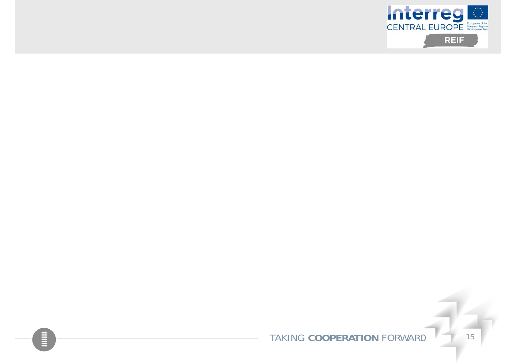

#### TAKING **COOPERATION** FORWARD 15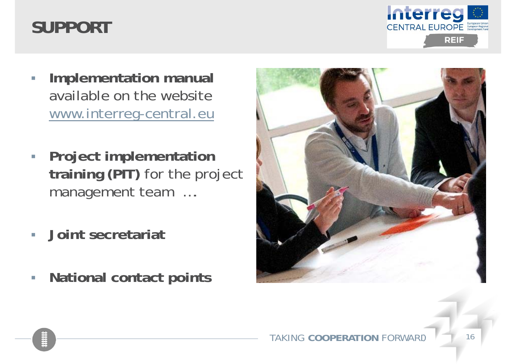# **SUPPORT**



- Ē, **Implementation manual**  available on the website www.interreg-central.eu
- $\overline{\phantom{a}}$  **Project implementation training (PIT)** for the project management team ….
- $\overline{\phantom{a}}$ **Joint secretariat**
- $\overline{\phantom{a}}$ **National contact points**